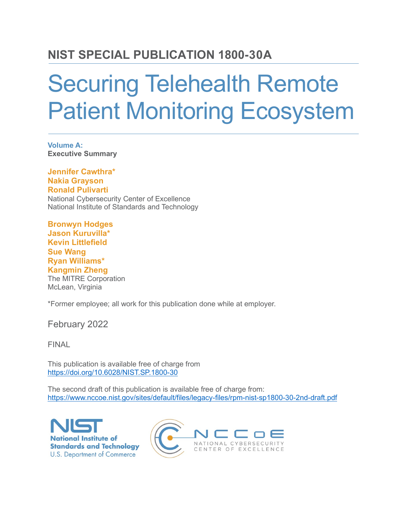### **NIST SPECIAL PUBLICATION 1800-30A**

# Securing Telehealth Remote Patient Monitoring Ecosystem

**Volume A: Executive Summary**

**Jennifer Cawthra\* Nakia Grayson Ronald Pulivarti** National Cybersecurity Center of Excellence National Institute of Standards and Technology

**Bronwyn Hodges Jason Kuruvilla\* Kevin Littlefield Sue Wang Ryan Williams\* Kangmin Zheng** The MITRE Corporation McLean, Virginia

\*Former employee; all work for this publication done while at employer.

February 2022

FINAL

This publication is available free of charge from <https://doi.org/10.6028/NIST.SP.1800-30>

The second draft of this publication is available free of charge from: <https://www.nccoe.nist.gov/sites/default/files/legacy-files/rpm-nist-sp1800-30-2nd-draft.pdf>

**National Institute of Standards and Technology U.S. Department of Commerce** 

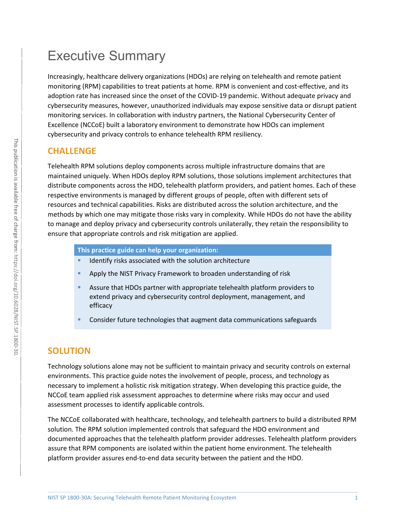## Executive Summary

Increasingly, healthcare delivery organizations (HDOs) are relying on telehealth and remote patient monitoring (RPM) capabilities to treat patients at home. RPM is convenient and cost-effective, and its adoption rate has increased since the onset of the COVID-19 pandemic. Without adequate privacy and cybersecurity measures, however, unauthorized individuals may expose sensitive data or disrupt patient monitoring services. In collaboration with industry partners, the National Cybersecurity Center of Excellence (NCCoE) built a laboratory environment to demonstrate how HDOs can implement cybersecurity and privacy controls to enhance telehealth RPM resiliency.

#### **CHALLENGE**

Telehealth RPM solutions deploy components across multiple infrastructure domains that are maintained uniquely. When HDOs deploy RPM solutions, those solutions implement architectures that distribute components across the HDO, telehealth platform providers, and patient homes. Each of these respective environments is managed by different groups of people, often with different sets of resources and technical capabilities. Risks are distributed across the solution architecture, and the methods by which one may mitigate those risks vary in complexity. While HDOs do not have the ability to manage and deploy privacy and cybersecurity controls unilaterally, they retain the responsibility to ensure that appropriate controls and risk mitigation are applied.

**This practice guide can help your organization:**

- Identify risks associated with the solution architecture
- **Apply the NIST Privacy Framework to broaden understanding of risk**
- Assure that HDOs partner with appropriate telehealth platform providers to extend privacy and cybersecurity control deployment, management, and efficacy
- Consider future technologies that augment data communications safeguards

#### **SOLUTION**

Technology solutions alone may not be sufficient to maintain privacy and security controls on external environments. This practice guide notes the involvement of people, process, and technology as necessary to implement a holistic risk mitigation strategy. When developing this practice guide, the NCCoE team applied risk assessment approaches to determine where risks may occur and used assessment processes to identify applicable controls.

The NCCoE collaborated with healthcare, technology, and telehealth partners to build a distributed RPM solution. The RPM solution implemented controls that safeguard the HDO environment and documented approaches that the telehealth platform provider addresses. Telehealth platform providers assure that RPM components are isolated within the patient home environment. The telehealth platform provider assures end-to-end data security between the patient and the HDO.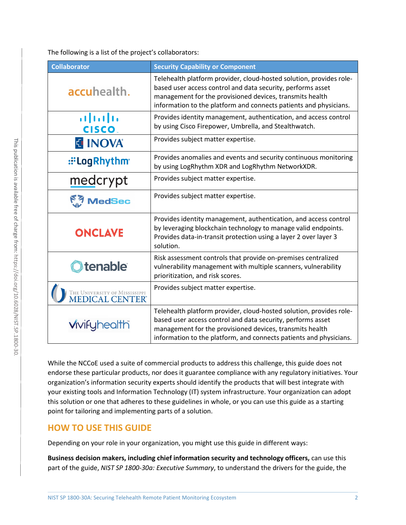The following is a list of the project's collaborators:

| <b>Collaborator</b>                             | <b>Security Capability or Component</b>                                                                                                                                                                                                                              |
|-------------------------------------------------|----------------------------------------------------------------------------------------------------------------------------------------------------------------------------------------------------------------------------------------------------------------------|
| accuhealth.                                     | Telehealth platform provider, cloud-hosted solution, provides role-<br>based user access control and data security, performs asset<br>management for the provisioned devices, transmits health<br>information to the platform and connects patients and physicians.  |
| $\mathbf{d}$ and $\mathbf{d}$<br><b>CISCO.</b>  | Provides identity management, authentication, and access control<br>by using Cisco Firepower, Umbrella, and Stealthwatch.                                                                                                                                            |
| <b>E INOVA</b>                                  | Provides subject matter expertise.                                                                                                                                                                                                                                   |
| :: Log Rhythm                                   | Provides anomalies and events and security continuous monitoring<br>by using LogRhythm XDR and LogRhythm NetworkXDR.                                                                                                                                                 |
| medcrypt                                        | Provides subject matter expertise.                                                                                                                                                                                                                                   |
| <b>MedSec</b>                                   | Provides subject matter expertise.                                                                                                                                                                                                                                   |
| <b>ONCLAVE</b>                                  | Provides identity management, authentication, and access control<br>by leveraging blockchain technology to manage valid endpoints.<br>Provides data-in-transit protection using a layer 2 over layer 3<br>solution.                                                  |
| <b>tenable</b>                                  | Risk assessment controls that provide on-premises centralized<br>vulnerability management with multiple scanners, vulnerability<br>prioritization, and risk scores.                                                                                                  |
| THE UNIVERSITY OF MISSISSIPPI<br>MEDICAL CENTER | Provides subject matter expertise.                                                                                                                                                                                                                                   |
| <b>Vivifyhealth</b>                             | Telehealth platform provider, cloud-hosted solution, provides role-<br>based user access control and data security, performs asset<br>management for the provisioned devices, transmits health<br>information to the platform, and connects patients and physicians. |

While the NCCoE used a suite of commercial products to address this challenge, this guide does not endorse these particular products, nor does it guarantee compliance with any regulatory initiatives. Your organization's information security experts should identify the products that will best integrate with your existing tools and Information Technology (IT) system infrastructure. Your organization can adopt this solution or one that adheres to these guidelines in whole, or you can use this guide as a starting point for tailoring and implementing parts of a solution.

#### **HOW TO USE THIS GUIDE**

Depending on your role in your organization, you might use this guide in different ways:

**Business decision makers, including chief information security and technology officers,** can use this part of the guide, *NIST SP 1800-30a: Executive Summary*, to understand the drivers for the guide, the